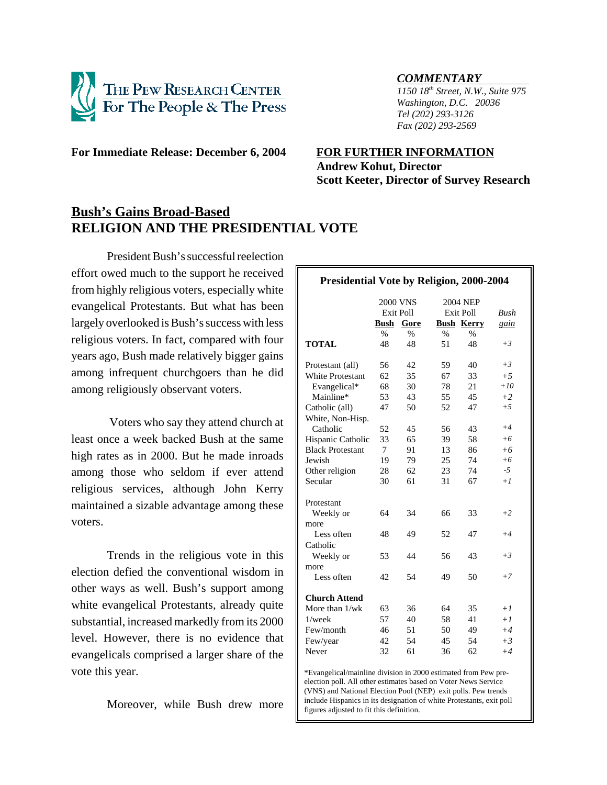

*COMMENTARY 1150 18th Street, N.W., Suite 975 Washington, D.C. 20036 Tel (202) 293-3126 Fax (202) 293-2569*

**For Immediate Release: December 6, 2004 FOR FURTHER INFORMATION**

# **Andrew Kohut, Director Scott Keeter, Director of Survey Research**

## **Bush's Gains Broad-Based RELIGION AND THE PRESIDENTIAL VOTE**

President Bush's successful reelection effort owed much to the support he received from highly religious voters, especially white evangelical Protestants. But what has been largely overlooked is Bush's success with less religious voters. In fact, compared with four years ago, Bush made relatively bigger gains among infrequent churchgoers than he did among religiously observant voters.

 Voters who say they attend church at least once a week backed Bush at the same high rates as in 2000. But he made inroads among those who seldom if ever attend religious services, although John Kerry maintained a sizable advantage among these voters.

Trends in the religious vote in this election defied the conventional wisdom in other ways as well. Bush's support among white evangelical Protestants, already quite substantial, increased markedly from its 2000 level. However, there is no evidence that evangelicals comprised a larger share of the vote this year.

Moreover, while Bush drew more

| <b>Presidential Vote by Religion, 2000-2004</b> |                     |      |                              |                   |             |
|-------------------------------------------------|---------------------|------|------------------------------|-------------------|-------------|
|                                                 | <b>2000 VNS</b>     |      |                              |                   |             |
|                                                 | <b>Exit Poll</b>    |      | <b>2004 NEP</b><br>Exit Poll |                   | <b>Bush</b> |
|                                                 | <b>Bush</b><br>Gore |      |                              | <b>Bush Kerry</b> |             |
|                                                 | $\%$                | $\%$ | $\frac{0}{0}$                | $\%$              | gain        |
| <b>TOTAL</b>                                    | 48                  | 48   | 51                           | 48                | $+3$        |
| Protestant (all)                                | 56                  | 42   | 59                           | 40                | $+3$        |
| <b>White Protestant</b>                         | 62                  | 35   | 67                           | 33                | $+5$        |
| Evangelical*                                    | 68                  | 30   | 78                           | 21                | $+10$       |
| Mainline*                                       | 53                  | 43   | 55                           | 45                | $+2$        |
| Catholic (all)                                  | 47                  | 50   | 52                           | 47                | $+5$        |
| White, Non-Hisp.                                |                     |      |                              |                   |             |
| Catholic                                        | 52                  | 45   | 56                           | 43                | $+4$        |
| Hispanic Catholic                               | 33                  | 65   | 39                           | 58                | $+6$        |
| <b>Black Protestant</b>                         | 7                   | 91   | 13                           | 86                | $+6$        |
| Jewish                                          | 19                  | 79   | 25                           | 74                | $+6$        |
| Other religion                                  | 28                  | 62   | 23                           | 74                | -5          |
| Secular                                         | 30                  | 61   | 31                           | 67                | $+1$        |
| Protestant                                      |                     |      |                              |                   |             |
| Weekly or                                       | 64                  | 34   | 66                           | 33                | $+2$        |
| more                                            |                     |      |                              |                   |             |
| Less often                                      | 48                  | 49   | 52                           | 47                | $+4$        |
| Catholic                                        |                     |      |                              |                   |             |
| Weekly or                                       | 53                  | 44   | 56                           | 43                | $+3$        |
| more                                            |                     |      |                              |                   |             |
| Less often                                      | 42                  | 54   | 49                           | 50                | $+7$        |
| <b>Church Attend</b>                            |                     |      |                              |                   |             |
| More than $1/wk$                                | 63                  | 36   | 64                           | 35                | $+1$        |
| $1$ /wee $k$                                    | 57                  | 40   | 58                           | 41                | $+1$        |
| Few/month                                       | 46                  | 51   | 50                           | 49                | $+4$        |
| Few/year                                        | 42                  | 54   | 45                           | 54                | $+3$        |
| Never                                           | 32                  | 61   | 36                           | 62                | $+4$        |
|                                                 |                     |      |                              |                   |             |

\*Evangelical/mainline division in 2000 estimated from Pew preelection poll. All other estimates based on Voter News Service (VNS) and National Election Pool (NEP) exit polls. Pew trends include Hispanics in its designation of white Protestants, exit poll figures adjusted to fit this definition.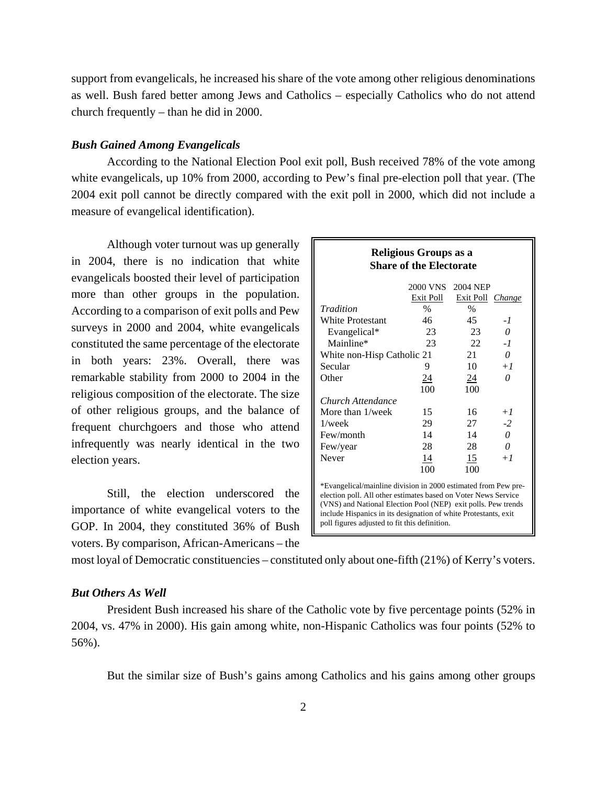support from evangelicals, he increased his share of the vote among other religious denominations as well. Bush fared better among Jews and Catholics – especially Catholics who do not attend church frequently – than he did in 2000.

#### *Bush Gained Among Evangelicals*

According to the National Election Pool exit poll, Bush received 78% of the vote among white evangelicals, up 10% from 2000, according to Pew's final pre-election poll that year. (The 2004 exit poll cannot be directly compared with the exit poll in 2000, which did not include a measure of evangelical identification).

Although voter turnout was up generally in 2004, there is no indication that white evangelicals boosted their level of participation more than other groups in the population. According to a comparison of exit polls and Pew surveys in 2000 and 2004, white evangelicals constituted the same percentage of the electorate in both years: 23%. Overall, there was remarkable stability from 2000 to 2004 in the religious composition of the electorate. The size of other religious groups, and the balance of frequent churchgoers and those who attend infrequently was nearly identical in the two election years.

Still, the election underscored the importance of white evangelical voters to the GOP. In 2004, they constituted 36% of Bush voters. By comparison, African-Americans – the

| Religious Groups as a<br><b>Share of the Electorate</b>                                                                                                                                                                                                                                                               |                 |           |        |  |  |  |
|-----------------------------------------------------------------------------------------------------------------------------------------------------------------------------------------------------------------------------------------------------------------------------------------------------------------------|-----------------|-----------|--------|--|--|--|
|                                                                                                                                                                                                                                                                                                                       | <b>2000 VNS</b> | 2004 NEP  |        |  |  |  |
|                                                                                                                                                                                                                                                                                                                       | Exit Poll       | Exit Poll | Change |  |  |  |
| Tradition                                                                                                                                                                                                                                                                                                             | $\%$            | $\%$      |        |  |  |  |
| <b>White Protestant</b>                                                                                                                                                                                                                                                                                               | 46              | 45        | - 1    |  |  |  |
| Evangelical*                                                                                                                                                                                                                                                                                                          | 23              | 23        | 0      |  |  |  |
| Mainline*                                                                                                                                                                                                                                                                                                             | 23              | 22        | - 1    |  |  |  |
| 21<br>White non-Hisp Catholic 21                                                                                                                                                                                                                                                                                      |                 |           | 0      |  |  |  |
| Secular                                                                                                                                                                                                                                                                                                               | 9               | 10        | $+1$   |  |  |  |
| Other                                                                                                                                                                                                                                                                                                                 | <u>24</u>       | <u>24</u> | 0      |  |  |  |
|                                                                                                                                                                                                                                                                                                                       | 100             | 100       |        |  |  |  |
| Church Attendance                                                                                                                                                                                                                                                                                                     |                 |           |        |  |  |  |
| More than 1/week                                                                                                                                                                                                                                                                                                      | 15              | 16        | $+1$   |  |  |  |
| $1$ /wee $k$                                                                                                                                                                                                                                                                                                          | 29              | 27        | $-2$   |  |  |  |
| Few/month                                                                                                                                                                                                                                                                                                             | 14              | 14        | 0      |  |  |  |
| Few/year                                                                                                                                                                                                                                                                                                              | 28              | 28        | 0      |  |  |  |
| Never                                                                                                                                                                                                                                                                                                                 | 14              | 15        | $+1$   |  |  |  |
|                                                                                                                                                                                                                                                                                                                       | 100             | 100       |        |  |  |  |
| *Evangelical/mainline division in 2000 estimated from Pew pre-<br>election poll. All other estimates based on Voter News Service<br>(VNS) and National Election Pool (NEP) exit polls. Pew trends<br>include Hispanics in its designation of white Protestants, exit<br>poll figures adjusted to fit this definition. |                 |           |        |  |  |  |

most loyal of Democratic constituencies – constituted only about one-fifth (21%) of Kerry's voters.

#### *But Others As Well*

President Bush increased his share of the Catholic vote by five percentage points (52% in 2004, vs. 47% in 2000). His gain among white, non-Hispanic Catholics was four points (52% to 56%).

But the similar size of Bush's gains among Catholics and his gains among other groups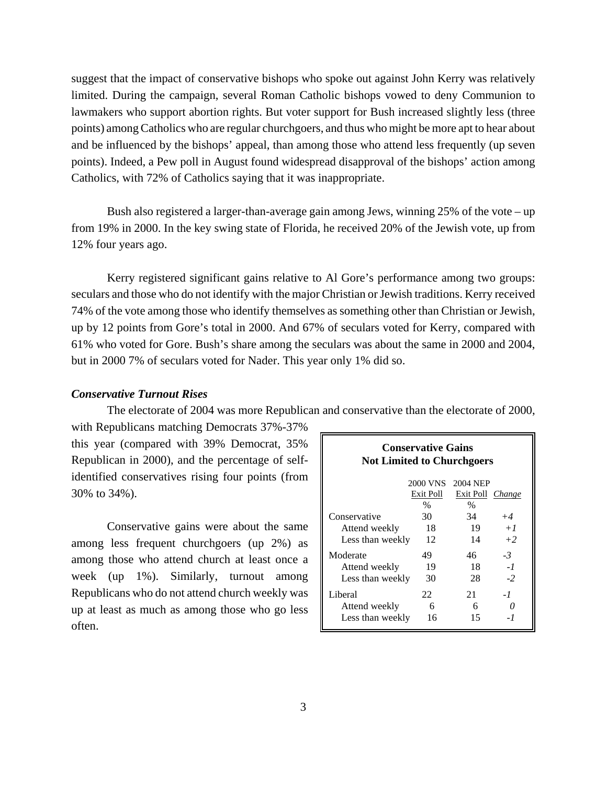suggest that the impact of conservative bishops who spoke out against John Kerry was relatively limited. During the campaign, several Roman Catholic bishops vowed to deny Communion to lawmakers who support abortion rights. But voter support for Bush increased slightly less (three points) among Catholics who are regular churchgoers, and thus who might be more apt to hear about and be influenced by the bishops' appeal, than among those who attend less frequently (up seven points). Indeed, a Pew poll in August found widespread disapproval of the bishops' action among Catholics, with 72% of Catholics saying that it was inappropriate.

Bush also registered a larger-than-average gain among Jews, winning 25% of the vote – up from 19% in 2000. In the key swing state of Florida, he received 20% of the Jewish vote, up from 12% four years ago.

Kerry registered significant gains relative to Al Gore's performance among two groups: seculars and those who do not identify with the major Christian or Jewish traditions. Kerry received 74% of the vote among those who identify themselves as something other than Christian or Jewish, up by 12 points from Gore's total in 2000. And 67% of seculars voted for Kerry, compared with 61% who voted for Gore. Bush's share among the seculars was about the same in 2000 and 2004, but in 2000 7% of seculars voted for Nader. This year only 1% did so.

### *Conservative Turnout Rises*

The electorate of 2004 was more Republican and conservative than the electorate of 2000,

with Republicans matching Democrats 37%-37% this year (compared with 39% Democrat, 35% Republican in 2000), and the percentage of selfidentified conservatives rising four points (from 30% to 34%).

Conservative gains were about the same among less frequent churchgoers (up 2%) as among those who attend church at least once a week (up 1%). Similarly, turnout among Republicans who do not attend church weekly was up at least as much as among those who go less often.

| <b>Conservative Gains</b>         |                 |                  |      |  |  |
|-----------------------------------|-----------------|------------------|------|--|--|
| <b>Not Limited to Churchgoers</b> |                 |                  |      |  |  |
|                                   |                 |                  |      |  |  |
|                                   | <b>2000 VNS</b> | <b>2004 NEP</b>  |      |  |  |
|                                   | Exit Poll       | Exit Poll Change |      |  |  |
|                                   | $\%$            | $\%$             |      |  |  |
| Conservative                      | 30              | 34               | $+4$ |  |  |
| Attend weekly                     | 18              | 19               | $+1$ |  |  |
| Less than weekly                  | 12              | 14               | $+2$ |  |  |
| Moderate                          | 49              | 46               | $-3$ |  |  |
| Attend weekly                     | 19              | 18               | $-1$ |  |  |
| Less than weekly                  | 30              | 28               | $-2$ |  |  |
| Liberal                           | 22              | 21               | -1   |  |  |
| Attend weekly                     | 6               | 6                |      |  |  |
| Less than weekly                  | 16              | 15               | - 1  |  |  |
|                                   |                 |                  |      |  |  |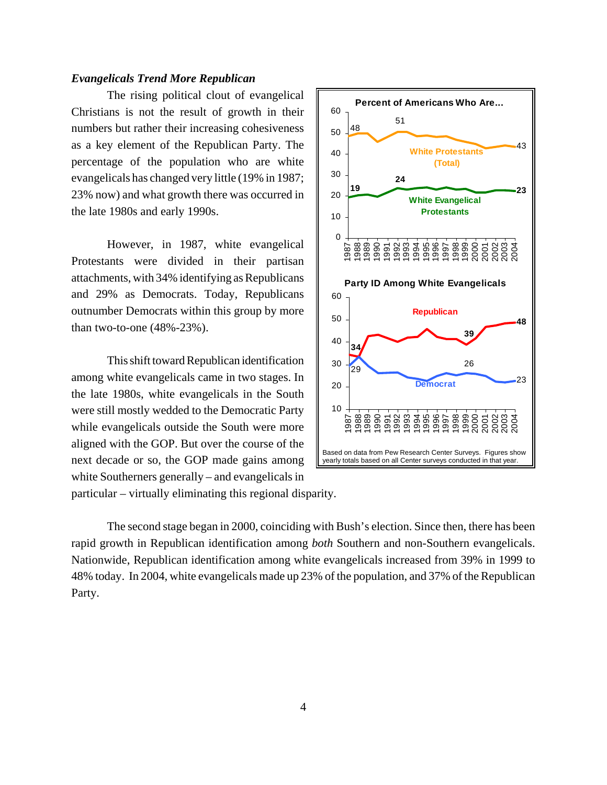#### *Evangelicals Trend More Republican*

The rising political clout of evangelical Christians is not the result of growth in their numbers but rather their increasing cohesiveness as a key element of the Republican Party. The percentage of the population who are white evangelicals has changed very little (19% in 1987; 23% now) and what growth there was occurred in the late 1980s and early 1990s.

However, in 1987, white evangelical Protestants were divided in their partisan attachments, with 34% identifying as Republicans and 29% as Democrats. Today, Republicans outnumber Democrats within this group by more than two-to-one (48%-23%).

This shift toward Republican identification among white evangelicals came in two stages. In the late 1980s, white evangelicals in the South were still mostly wedded to the Democratic Party while evangelicals outside the South were more aligned with the GOP. But over the course of the next decade or so, the GOP made gains among white Southerners generally – and evangelicals in particular – virtually eliminating this regional disparity.



The second stage began in 2000, coinciding with Bush's election. Since then, there has been rapid growth in Republican identification among *both* Southern and non-Southern evangelicals. Nationwide, Republican identification among white evangelicals increased from 39% in 1999 to 48% today. In 2004, white evangelicals made up 23% of the population, and 37% of the Republican Party.